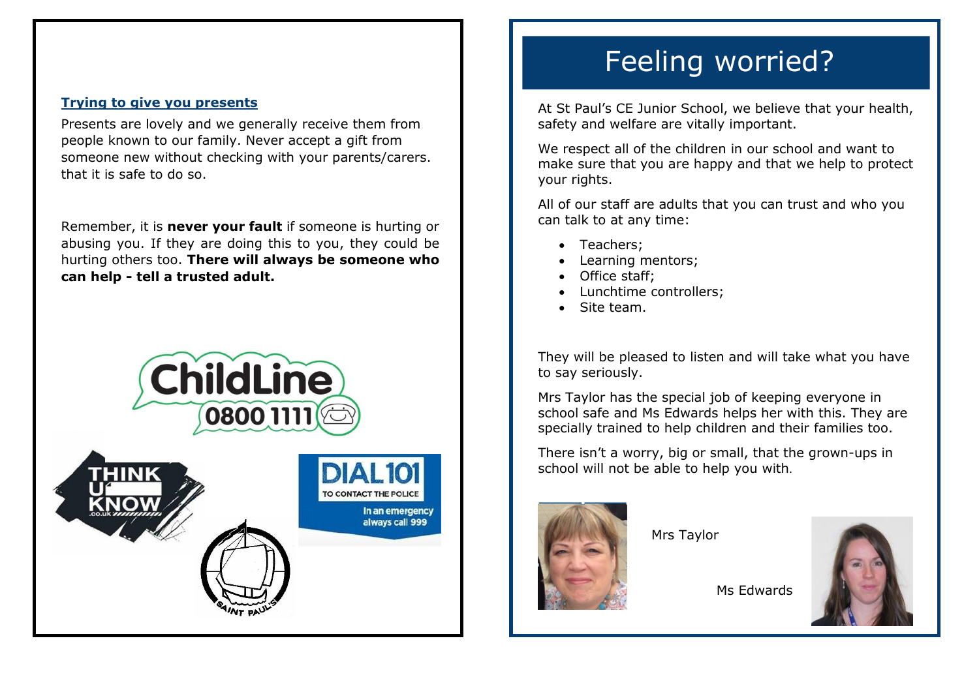## **Trying to give you presents**

Presents are lovely and we generally receive them from people known to our family. Never accept a gift from someone new without checking with your parents/carers. that it is safe to do so.

Remember, it is **never your fault** if someone is hurting or abusing you. If they are doing this to you, they could be hurting others too. **There will always be someone who can help - tell a trusted adult.**





# Feeling worried?

At St Paul's CE Junior School, we believe that your health, safety and welfare are vitally important.

We respect all of the children in our school and want to make sure that you are happy and that we help to protect your rights.

All of our staff are adults that you can trust and who you can talk to at any time:

- Teachers:
- Learning mentors;
- Office staff;
- Lunchtime controllers:
- Site team.

They will be pleased to listen and will take what you have to say seriously.

Mrs Taylor has the special job of keeping everyone in school safe and Ms Edwards helps her with this. They are specially trained to help children and their families too.

There isn't a worry, big or small, that the grown-ups in school will not be able to help you with.



Mrs Taylor



Ms Edwards